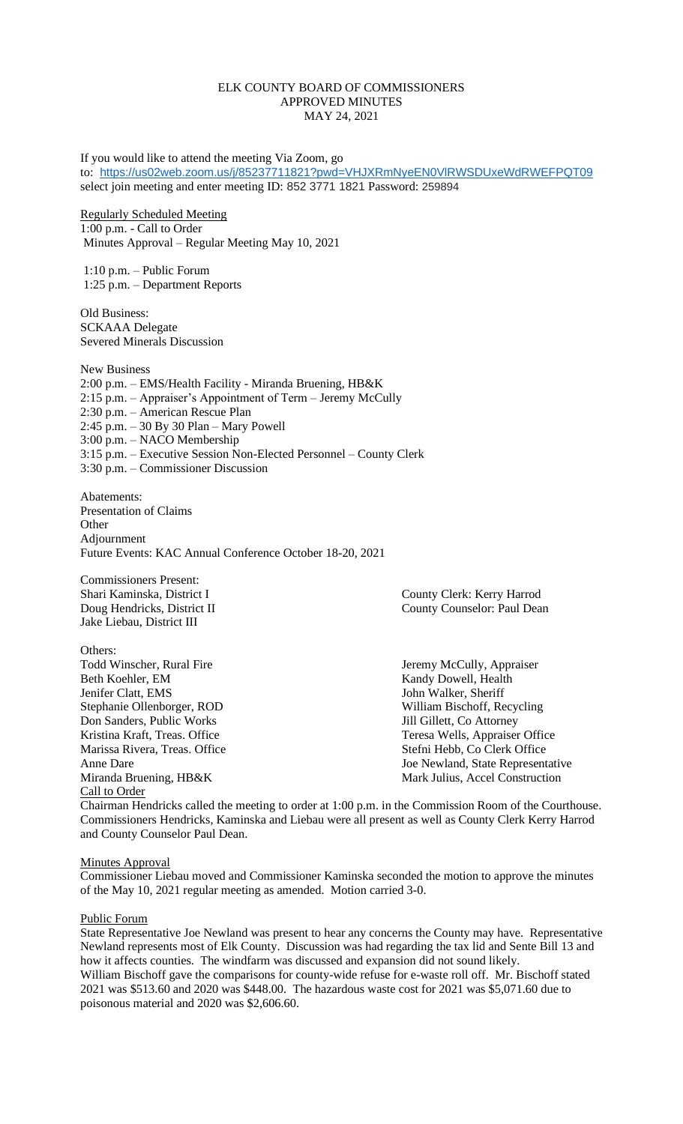# ELK COUNTY BOARD OF COMMISSIONERS APPROVED MINUTES MAY 24, 2021

If you would like to attend the meeting Via Zoom, go to: <https://us02web.zoom.us/j/85237711821?pwd=VHJXRmNyeEN0VlRWSDUxeWdRWEFPQT09> select join meeting and enter meeting ID: 852 3771 1821 Password: 259894

Regularly Scheduled Meeting 1:00 p.m. - Call to Order Minutes Approval – Regular Meeting May 10, 2021

1:10 p.m. – Public Forum 1:25 p.m. – Department Reports

Old Business: SCKAAA Delegate Severed Minerals Discussion

New Business 2:00 p.m. – EMS/Health Facility - Miranda Bruening, HB&K 2:15 p.m. – Appraiser's Appointment of Term – Jeremy McCully 2:30 p.m. – American Rescue Plan 2:45 p.m. – 30 By 30 Plan – Mary Powell 3:00 p.m. – NACO Membership 3:15 p.m. – Executive Session Non-Elected Personnel – County Clerk 3:30 p.m. – Commissioner Discussion

Abatements: Presentation of Claims **Other** Adjournment Future Events: KAC Annual Conference October 18-20, 2021

Commissioners Present: Jake Liebau, District III

Others: Todd Winscher, Rural Fire Jeremy McCully, Appraiser Beth Koehler, EM Kandy Dowell, Health Jenifer Clatt, EMS John Walker, Sheriff Stephanie Ollenborger, ROD William Bischoff, Recycling<br>
Don Sanders, Public Works Jill Gillett, Co Attorney Don Sanders, Public Works Marissa Rivera, Treas. Office Stefni Hebb, Co Clerk Office Miranda Bruening, HB&K Mark Julius, Accel Construction Call to Order

Shari Kaminska, District I County Clerk: Kerry Harrod Doug Hendricks, District II County Counselor: Paul Dean

Kristina Kraft, Treas. Office Teresa Wells, Appraiser Office Anne Dare **Internal and State Representative** Joe Newland, State Representative

Chairman Hendricks called the meeting to order at 1:00 p.m. in the Commission Room of the Courthouse. Commissioners Hendricks, Kaminska and Liebau were all present as well as County Clerk Kerry Harrod and County Counselor Paul Dean.

**Minutes Approval** 

Commissioner Liebau moved and Commissioner Kaminska seconded the motion to approve the minutes of the May 10, 2021 regular meeting as amended. Motion carried 3-0.

Public Forum

State Representative Joe Newland was present to hear any concerns the County may have. Representative Newland represents most of Elk County. Discussion was had regarding the tax lid and Sente Bill 13 and how it affects counties. The windfarm was discussed and expansion did not sound likely. William Bischoff gave the comparisons for county-wide refuse for e-waste roll off. Mr. Bischoff stated 2021 was \$513.60 and 2020 was \$448.00. The hazardous waste cost for 2021 was \$5,071.60 due to poisonous material and 2020 was \$2,606.60.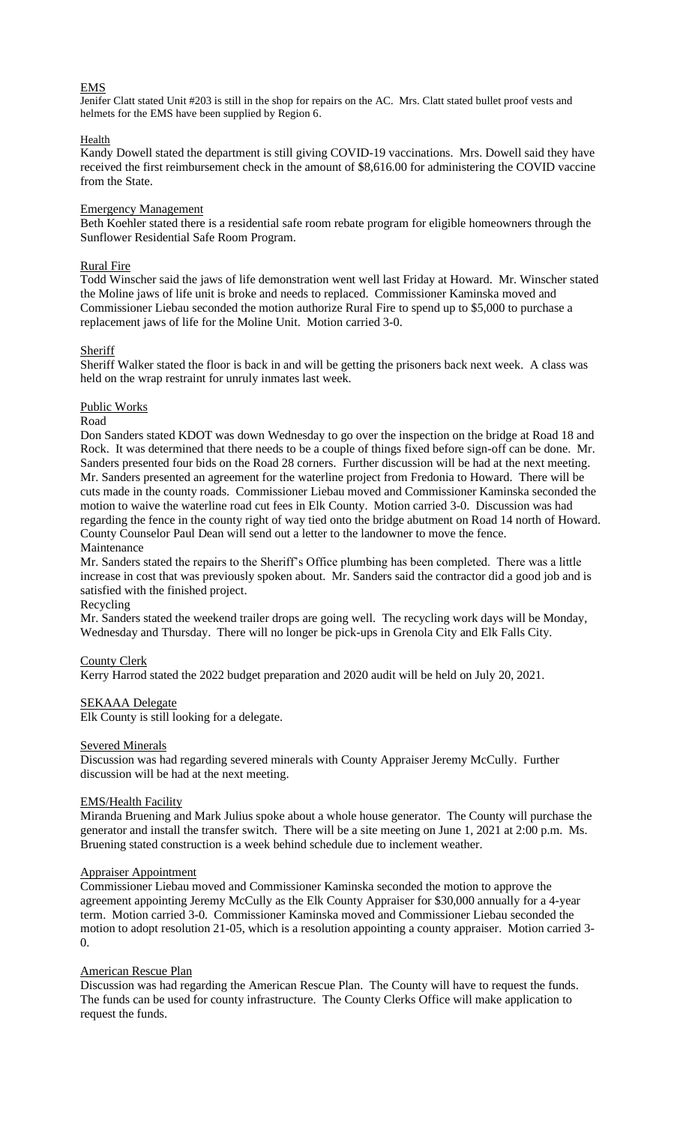# EMS

Jenifer Clatt stated Unit #203 is still in the shop for repairs on the AC. Mrs. Clatt stated bullet proof vests and helmets for the EMS have been supplied by Region 6.

## Health

Kandy Dowell stated the department is still giving COVID-19 vaccinations. Mrs. Dowell said they have received the first reimbursement check in the amount of \$8,616.00 for administering the COVID vaccine from the State.

### Emergency Management

Beth Koehler stated there is a residential safe room rebate program for eligible homeowners through the Sunflower Residential Safe Room Program.

## Rural Fire

Todd Winscher said the jaws of life demonstration went well last Friday at Howard. Mr. Winscher stated the Moline jaws of life unit is broke and needs to replaced. Commissioner Kaminska moved and Commissioner Liebau seconded the motion authorize Rural Fire to spend up to \$5,000 to purchase a replacement jaws of life for the Moline Unit. Motion carried 3-0.

## **Sheriff**

Sheriff Walker stated the floor is back in and will be getting the prisoners back next week. A class was held on the wrap restraint for unruly inmates last week.

## Public Works

## Road

Don Sanders stated KDOT was down Wednesday to go over the inspection on the bridge at Road 18 and Rock. It was determined that there needs to be a couple of things fixed before sign-off can be done. Mr. Sanders presented four bids on the Road 28 corners. Further discussion will be had at the next meeting. Mr. Sanders presented an agreement for the waterline project from Fredonia to Howard. There will be cuts made in the county roads. Commissioner Liebau moved and Commissioner Kaminska seconded the motion to waive the waterline road cut fees in Elk County. Motion carried 3-0. Discussion was had regarding the fence in the county right of way tied onto the bridge abutment on Road 14 north of Howard. County Counselor Paul Dean will send out a letter to the landowner to move the fence. Maintenance

Mr. Sanders stated the repairs to the Sheriff's Office plumbing has been completed. There was a little increase in cost that was previously spoken about. Mr. Sanders said the contractor did a good job and is satisfied with the finished project.

# Recycling

Mr. Sanders stated the weekend trailer drops are going well. The recycling work days will be Monday, Wednesday and Thursday. There will no longer be pick-ups in Grenola City and Elk Falls City.

# County Clerk

Kerry Harrod stated the 2022 budget preparation and 2020 audit will be held on July 20, 2021.

### SEKAAA Delegate

Elk County is still looking for a delegate.

### Severed Minerals

Discussion was had regarding severed minerals with County Appraiser Jeremy McCully. Further discussion will be had at the next meeting.

### EMS/Health Facility

Miranda Bruening and Mark Julius spoke about a whole house generator. The County will purchase the generator and install the transfer switch. There will be a site meeting on June 1, 2021 at 2:00 p.m. Ms. Bruening stated construction is a week behind schedule due to inclement weather.

### Appraiser Appointment

Commissioner Liebau moved and Commissioner Kaminska seconded the motion to approve the agreement appointing Jeremy McCully as the Elk County Appraiser for \$30,000 annually for a 4-year term. Motion carried 3-0. Commissioner Kaminska moved and Commissioner Liebau seconded the motion to adopt resolution 21-05, which is a resolution appointing a county appraiser. Motion carried 3- 0.

### American Rescue Plan

Discussion was had regarding the American Rescue Plan. The County will have to request the funds. The funds can be used for county infrastructure. The County Clerks Office will make application to request the funds.